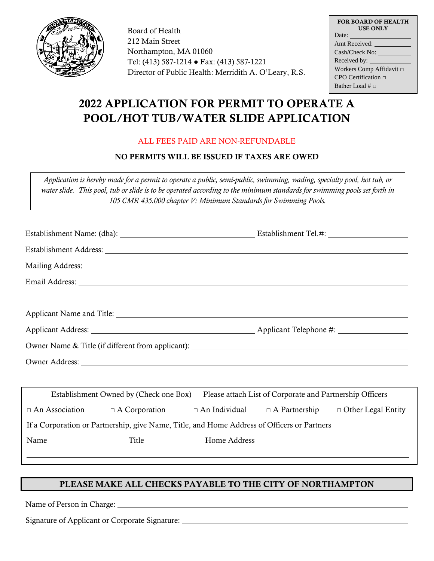

Board of Health 212 Main Street Northampton, MA 01060 Tel: (413) 587-1214 ● Fax: (413) 587-1221 Director of Public Health: Merridith A. O'Leary, R.S.

| <b>FOR BOARD OF HEALTH</b><br><b>USE ONLY</b> |
|-----------------------------------------------|
| Date:                                         |
| Amt Received:                                 |
|                                               |
|                                               |
| Workers Comp Affidavit □                      |
| $CPO$ Certification $\Box$                    |
| Bather Load # $\Box$                          |

# 2022 APPLICATION FOR PERMIT TO OPERATE A POOL/HOT TUB/WATER SLIDE APPLICATION

### ALL FEES PAID ARE NON-REFUNDABLE

## NO PERMITS WILL BE ISSUED IF TAXES ARE OWED

*Application is hereby made for a permit to operate a public, semi-public, swimming, wading, specialty pool, hot tub, or water slide. This pool, tub or slide is to be operated according to the minimum standards for swimming pools set forth in 105 CMR 435.000 chapter V: Minimum Standards for Swimming Pools.*

| Establishment Address: Lawrence and the contract of the contract of the contract of the contract of the contract of the contract of the contract of the contract of the contract of the contract of the contract of the contra |                                        |              |                                                          |  |  |  |
|--------------------------------------------------------------------------------------------------------------------------------------------------------------------------------------------------------------------------------|----------------------------------------|--------------|----------------------------------------------------------|--|--|--|
|                                                                                                                                                                                                                                |                                        |              |                                                          |  |  |  |
|                                                                                                                                                                                                                                |                                        |              |                                                          |  |  |  |
|                                                                                                                                                                                                                                |                                        |              |                                                          |  |  |  |
|                                                                                                                                                                                                                                |                                        |              |                                                          |  |  |  |
|                                                                                                                                                                                                                                |                                        |              |                                                          |  |  |  |
|                                                                                                                                                                                                                                |                                        |              |                                                          |  |  |  |
|                                                                                                                                                                                                                                |                                        |              |                                                          |  |  |  |
|                                                                                                                                                                                                                                |                                        |              |                                                          |  |  |  |
|                                                                                                                                                                                                                                | Establishment Owned by (Check one Box) |              | Please attach List of Corporate and Partnership Officers |  |  |  |
| $\Box$ An Association $\Box$ A Corporation $\Box$ An Individual $\Box$ A Partnership $\Box$ Other Legal Entity                                                                                                                 |                                        |              |                                                          |  |  |  |
| If a Corporation or Partnership, give Name, Title, and Home Address of Officers or Partners                                                                                                                                    |                                        |              |                                                          |  |  |  |
| Name                                                                                                                                                                                                                           | Title                                  | Home Address |                                                          |  |  |  |
|                                                                                                                                                                                                                                |                                        |              |                                                          |  |  |  |

## PLEASE MAKE ALL CHECKS PAYABLE TO THE CITY OF NORTHAMPTON

Name of Person in Charge:

Signature of Applicant or Corporate Signature: \_\_\_\_\_\_\_\_\_\_\_\_\_\_\_\_\_\_\_\_\_\_\_\_\_\_\_\_\_\_\_\_\_